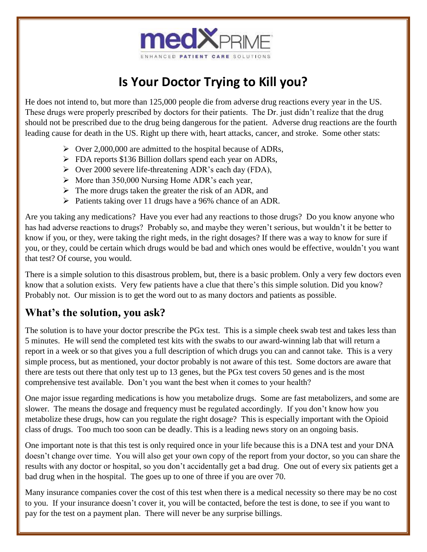

## **Is Your Doctor Trying to Kill you?**

He does not intend to, but more than 125,000 people die from adverse drug reactions every year in the US. These drugs were properly prescribed by doctors for their patients. The Dr. just didn't realize that the drug should not be prescribed due to the drug being dangerous for the patient. Adverse drug reactions are the fourth leading cause for death in the US. Right up there with, heart attacks, cancer, and stroke. Some other stats:

- ➢ Over 2,000,000 are admitted to the hospital because of ADRs,
- ➢ FDA reports \$136 Billion dollars spend each year on ADRs,
- ➢ Over 2000 severe life-threatening ADR's each day (FDA),
- ➢ More than 350,000 Nursing Home ADR's each year,
- $\triangleright$  The more drugs taken the greater the risk of an ADR, and
- ➢ Patients taking over 11 drugs have a 96% chance of an ADR.

Are you taking any medications? Have you ever had any reactions to those drugs? Do you know anyone who has had adverse reactions to drugs? Probably so, and maybe they weren't serious, but wouldn't it be better to know if you, or they, were taking the right meds, in the right dosages? If there was a way to know for sure if you, or they, could be certain which drugs would be bad and which ones would be effective, wouldn't you want that test? Of course, you would.

There is a simple solution to this disastrous problem, but, there is a basic problem. Only a very few doctors even know that a solution exists. Very few patients have a clue that there's this simple solution. Did you know? Probably not. Our mission is to get the word out to as many doctors and patients as possible.

## **What's the solution, you ask?**

The solution is to have your doctor prescribe the PGx test. This is a simple cheek swab test and takes less than 5 minutes. He will send the completed test kits with the swabs to our award-winning lab that will return a report in a week or so that gives you a full description of which drugs you can and cannot take. This is a very simple process, but as mentioned, your doctor probably is not aware of this test. Some doctors are aware that there are tests out there that only test up to 13 genes, but the PGx test covers 50 genes and is the most comprehensive test available. Don't you want the best when it comes to your health?

One major issue regarding medications is how you metabolize drugs. Some are fast metabolizers, and some are slower. The means the dosage and frequency must be regulated accordingly. If you don't know how you metabolize these drugs, how can you regulate the right dosage? This is especially important with the Opioid class of drugs. Too much too soon can be deadly. This is a leading news story on an ongoing basis.

One important note is that this test is only required once in your life because this is a DNA test and your DNA doesn't change over time. You will also get your own copy of the report from your doctor, so you can share the results with any doctor or hospital, so you don't accidentally get a bad drug. One out of every six patients get a bad drug when in the hospital. The goes up to one of three if you are over 70.

Many insurance companies cover the cost of this test when there is a medical necessity so there may be no cost to you. If your insurance doesn't cover it, you will be contacted, before the test is done, to see if you want to pay for the test on a payment plan. There will never be any surprise billings.